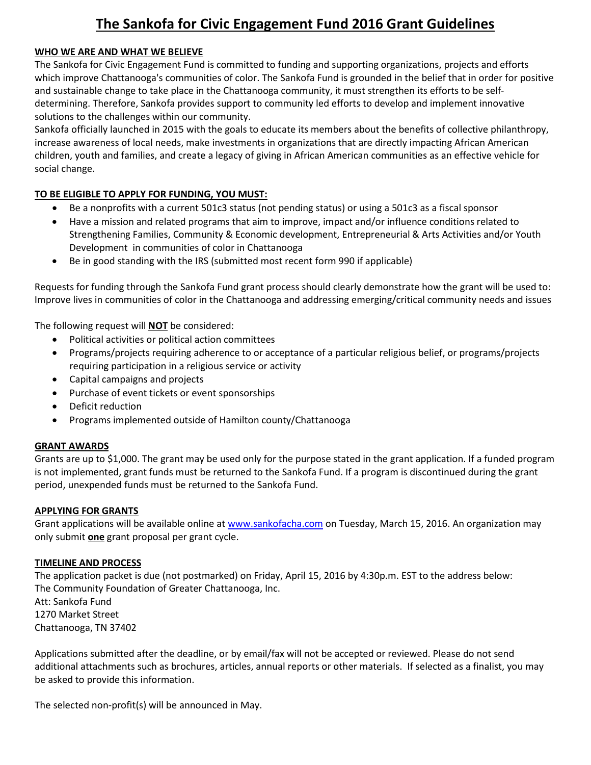# **The Sankofa for Civic Engagement Fund 2016 Grant Guidelines**

### **WHO WE ARE AND WHAT WE BELIEVE**

The Sankofa for Civic Engagement Fund is committed to funding and supporting organizations, projects and efforts which improve Chattanooga's communities of color. The Sankofa Fund is grounded in the belief that in order for positive and sustainable change to take place in the Chattanooga community, it must strengthen its efforts to be selfdetermining. Therefore, Sankofa provides support to community led efforts to develop and implement innovative solutions to the challenges within our community.

Sankofa officially launched in 2015 with the goals to educate its members about the benefits of collective philanthropy, increase awareness of local needs, make investments in organizations that are directly impacting African American children, youth and families, and create a legacy of giving in African American communities as an effective vehicle for social change.

## **TO BE ELIGIBLE TO APPLY FOR FUNDING, YOU MUST:**

- Be a nonprofits with a current 501c3 status (not pending status) or using a 501c3 as a fiscal sponsor
- Have a mission and related programs that aim to improve, impact and/or influence conditions related to Strengthening Families, Community & Economic development, Entrepreneurial & Arts Activities and/or Youth Development in communities of color in Chattanooga
- Be in good standing with the IRS (submitted most recent form 990 if applicable)

Requests for funding through the Sankofa Fund grant process should clearly demonstrate how the grant will be used to: Improve lives in communities of color in the Chattanooga and addressing emerging/critical community needs and issues

The following request will **NOT** be considered:

- Political activities or political action committees
- Programs/projects requiring adherence to or acceptance of a particular religious belief, or programs/projects requiring participation in a religious service or activity
- Capital campaigns and projects
- Purchase of event tickets or event sponsorships
- Deficit reduction
- Programs implemented outside of Hamilton county/Chattanooga

#### **GRANT AWARDS**

Grants are up to \$1,000. The grant may be used only for the purpose stated in the grant application. If a funded program is not implemented, grant funds must be returned to the Sankofa Fund. If a program is discontinued during the grant period, unexpended funds must be returned to the Sankofa Fund.

#### **APPLYING FOR GRANTS**

Grant applications will be available online at [www.sankofacha.com](http://www.sankofacha.com/) on Tuesday, March 15, 2016. An organization may only submit **one** grant proposal per grant cycle.

#### **TIMELINE AND PROCESS**

The application packet is due (not postmarked) on Friday, April 15, 2016 by 4:30p.m. EST to the address below: The Community Foundation of Greater Chattanooga, Inc. Att: Sankofa Fund 1270 Market Street Chattanooga, TN 37402

Applications submitted after the deadline, or by email/fax will not be accepted or reviewed. Please do not send additional attachments such as brochures, articles, annual reports or other materials. If selected as a finalist, you may be asked to provide this information.

The selected non-profit(s) will be announced in May.